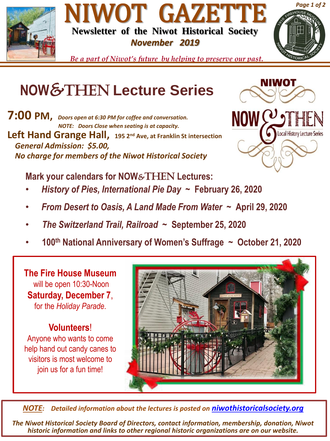





*Be a part of Niwot's future by helping to preserve our past.*

## **NOW**&Then **Lecture Series**

**7:00 PM,** *Doors open at 6:30 PM for coffee and conversation. NOTE: Doors Close when seating is at capacity.* **Left Hand Grange Hall, 195 2nd Ave, at Franklin St intersection** *General Admission: \$5.00, No charge for members of the Niwot Historical Society* 



**Mark your calendars for NOW**&THEN **Lectures:**

- *History of Pies, International Pie Day ~* **February 26, 2020**
- *From Desert to Oasis, A Land Made From Water ~* **April 29, 2020**
- *The Switzerland Trail, Railroad ~* **September 25, 2020**
- **100th National Anniversary of Women's Suffrage ~ October 21, 2020**

**The Fire House Museum** will be open 10:30-Noon **Saturday, December 7**, for the *Holiday Parade*.

## **Volunteers**!

Anyone who wants to come help hand out candy canes to visitors is most welcome to join us for a fun time!



*NOTE: Detailed information about the lectures is posted on [niwothistoricalsociety.org](http://www.niwothistoricalsociety.org/)*

*The Niwot Historical Society Board of Directors, contact information, membership, donation, Niwot historic information and links to other regional historic organizations are on our website.*